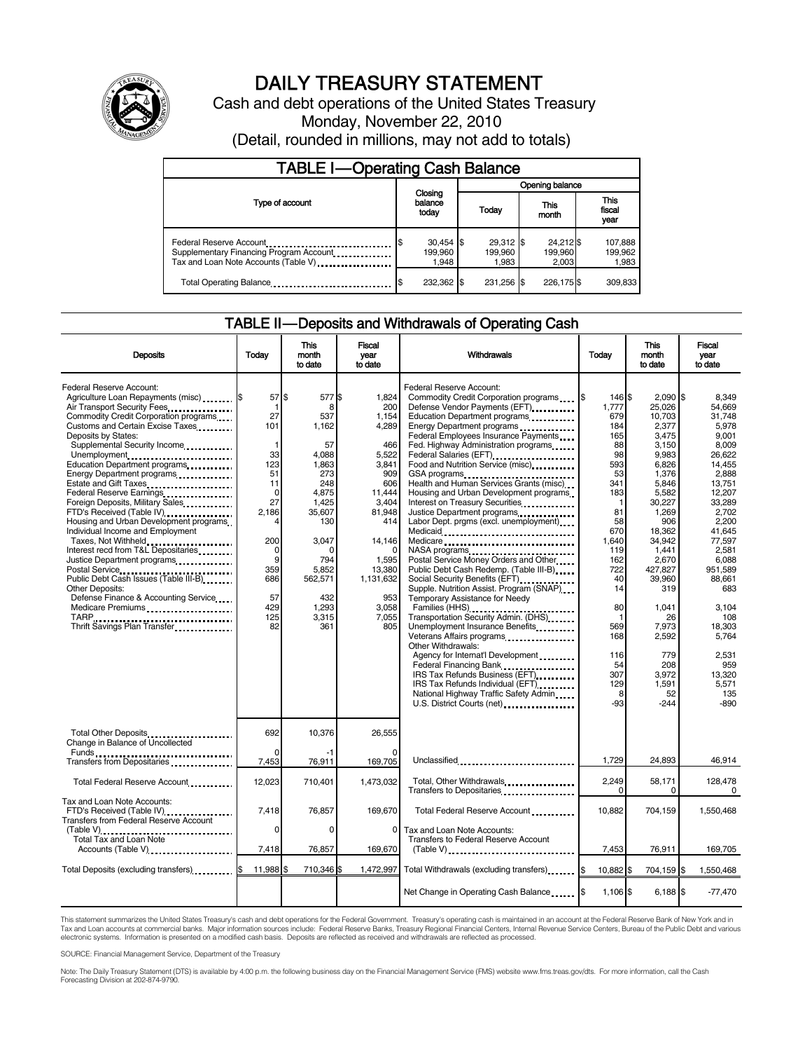

# DAILY TREASURY STATEMENT

Cash and debt operations of the United States Treasury Monday, November 22, 2010 (Detail, rounded in millions, may not add to totals)

| <b>TABLE I-Operating Cash Balance</b>                                                                      |                                 |                                 |                               |                               |  |  |  |
|------------------------------------------------------------------------------------------------------------|---------------------------------|---------------------------------|-------------------------------|-------------------------------|--|--|--|
|                                                                                                            |                                 | Opening balance                 |                               |                               |  |  |  |
| Type of account                                                                                            | Closing<br>balance<br>today     | Today                           | This<br>month                 | <b>This</b><br>fiscal<br>year |  |  |  |
| Federal Reserve Account<br>Supplementary Financing Program Account<br>Tax and Loan Note Accounts (Table V) | $30,454$ \$<br>199.960<br>1.948 | $29,312$ \$<br>199.960<br>1.983 | 24,212 \$<br>199,960<br>2.003 | 107,888<br>199,962<br>1,983   |  |  |  |
| Total Operating Balance                                                                                    | 232,362 \$                      | 231.256 \$                      | 226.175 \$                    | 309.833                       |  |  |  |

### TABLE II — Deposits and Withdrawals of Operating Cash

| <b>Deposits</b>                                                                                                                                                                                                                                                                                                                                                                                                                                                                                                                                                                                                                                                                                                                                                                       | Today                                                                                                                                              | This<br>month<br>to date                                                                                                                                                      | Fiscal<br>vear<br>to date                                                                                                                                                           | Withdrawals<br>Today                                                                                                                                                                                                                                                                                                                                                                                                                                                                                                                                                                                                                                                                                                                                                                                                                                                                                                                                                                                                                                                                                                                                                                                                                                                                                                                                        |                                                                                                                                                                                                                             | This<br>month<br>to date                                                                                                                                                                                                                                                           | Fiscal<br>vear<br>to date                                                                                                                                                                                                                                                                |  |
|---------------------------------------------------------------------------------------------------------------------------------------------------------------------------------------------------------------------------------------------------------------------------------------------------------------------------------------------------------------------------------------------------------------------------------------------------------------------------------------------------------------------------------------------------------------------------------------------------------------------------------------------------------------------------------------------------------------------------------------------------------------------------------------|----------------------------------------------------------------------------------------------------------------------------------------------------|-------------------------------------------------------------------------------------------------------------------------------------------------------------------------------|-------------------------------------------------------------------------------------------------------------------------------------------------------------------------------------|-------------------------------------------------------------------------------------------------------------------------------------------------------------------------------------------------------------------------------------------------------------------------------------------------------------------------------------------------------------------------------------------------------------------------------------------------------------------------------------------------------------------------------------------------------------------------------------------------------------------------------------------------------------------------------------------------------------------------------------------------------------------------------------------------------------------------------------------------------------------------------------------------------------------------------------------------------------------------------------------------------------------------------------------------------------------------------------------------------------------------------------------------------------------------------------------------------------------------------------------------------------------------------------------------------------------------------------------------------------|-----------------------------------------------------------------------------------------------------------------------------------------------------------------------------------------------------------------------------|------------------------------------------------------------------------------------------------------------------------------------------------------------------------------------------------------------------------------------------------------------------------------------|------------------------------------------------------------------------------------------------------------------------------------------------------------------------------------------------------------------------------------------------------------------------------------------|--|
| Federal Reserve Account:<br>Agriculture Loan Repayments (misc) \$<br>Air Transport Security Fees<br>Commodity Credit Corporation programs<br>Customs and Certain Excise Taxes<br>Deposits by States:<br>Supplemental Security Income<br>Unemployment<br>Education Department programs<br>Energy Department programs<br>Estate and Gift Taxes<br>Federal Reserve Earnings<br>Foreign Deposits, Military Sales<br>FTD's Received (Table IV)<br>Housing and Urban Development programs<br>Individual Income and Employment<br>Taxes, Not Withheld<br>Interest recd from T&L Depositaries<br>Justice Department programs<br>Public Debt Cash Issues (Table III-B).<br><b>Other Deposits:</b><br>Defense Finance & Accounting Service<br>Medicare Premiums<br>Thrift Savings Plan Transfer | 57 \$<br>-1<br>27<br>101<br>1<br>33<br>123<br>51<br>11<br>$\mathbf 0$<br>27<br>2.186<br>4<br>200<br>0<br>9<br>359<br>686<br>57<br>429<br>125<br>82 | 577 \$<br>8<br>537<br>1,162<br>57<br>4,088<br>1,863<br>273<br>248<br>4,875<br>1.425<br>35,607<br>130<br>3,047<br>ŋ<br>794<br>5,852<br>562,571<br>432<br>1,293<br>3,315<br>361 | 1.824<br>200<br>1,154<br>4,289<br>466<br>5,522<br>3,841<br>909<br>606<br>11,444<br>3.404<br>81,948<br>414<br>14,146<br>1,595<br>13,380<br>1,131,632<br>953<br>3.058<br>7,055<br>805 | Federal Reserve Account:<br>Commodity Credit Corporation programs \$<br>Defense Vendor Payments (EFT)<br>Education Department programs<br>Energy Department programs<br>Federal Employees Insurance Payments<br>Fed. Highway Administration programs<br>Federal Salaries (EFT)<br>Food and Nutrition Service (misc)<br>GSA programs<br>Health and Human Services Grants (misc)<br>Housing and Urban Development programs<br>Interest on Treasury Securities<br>Justice Department programs<br>Labor Dept. prgms (excl. unemployment)<br>Medicare<br>NASA programs<br>Postal Service Money Orders and Other<br>Public Debt Cash Redemp. (Table III-B)<br>Social Security Benefits (EFT)<br>Supple. Nutrition Assist. Program (SNAP)<br>Temporary Assistance for Needy<br>Families (HHS)<br>Transportation Security Admin. (DHS)<br>Unemployment Insurance Benefits<br>Veterans Affairs programs<br>Other Withdrawals:<br>Agency for Internat'l Development<br>Federal Financing Bank<br>1991, 1991, 1992, 1993, 1994, 1995, 1996, 1997, 1998, 1999, 1999, 1999, 1999, 1999, 1999, 1999, 1999, 1999, 1999, 1999, 1999, 1999, 1999, 1999, 1999, 1999, 1999, 1999, 1999, 1999, 1999, 1999, 1999,<br>IRS Tax Refunds Business (EFT)<br>IRS Tax Refunds Individual (EFT)<br>National Highway Traffic Safety Admin<br>U.S. District Courts (net) _________________ | 146 \$<br>1,777<br>679<br>184<br>165<br>88<br>98<br>593<br>53<br>341<br>183<br>-1<br>81<br>58<br>670<br>1.640<br>119<br>162<br>722<br>40<br>14<br>80<br>$\overline{1}$<br>569<br>168<br>116<br>54<br>307<br>129<br>8<br>-93 | $2.090$ S<br>25,026<br>10,703<br>2,377<br>3,475<br>3.150<br>9,983<br>6,826<br>1,376<br>5,846<br>5,582<br>30,227<br>1,269<br>906<br>18,362<br>34.942<br>1.441<br>2,670<br>427,827<br>39,960<br>319<br>1.041<br>26<br>7,973<br>2,592<br>779<br>208<br>3,972<br>1,591<br>52<br>$-244$ | 8.349<br>54,669<br>31.748<br>5,978<br>9.001<br>8,009<br>26.622<br>14,455<br>2.888<br>13,751<br>12.207<br>33.289<br>2,702<br>2,200<br>41.645<br>77,597<br>2.581<br>6,088<br>951,589<br>88.661<br>683<br>3.104<br>108<br>18,303<br>5,764<br>2,531<br>959<br>13,320<br>5,571<br>135<br>-890 |  |
| Total Other Deposits<br>Change in Balance of Uncollected                                                                                                                                                                                                                                                                                                                                                                                                                                                                                                                                                                                                                                                                                                                              | 692                                                                                                                                                | 10,376                                                                                                                                                                        | 26,555                                                                                                                                                                              |                                                                                                                                                                                                                                                                                                                                                                                                                                                                                                                                                                                                                                                                                                                                                                                                                                                                                                                                                                                                                                                                                                                                                                                                                                                                                                                                                             |                                                                                                                                                                                                                             |                                                                                                                                                                                                                                                                                    |                                                                                                                                                                                                                                                                                          |  |
| Transfers from Depositaries <b>Constants</b>                                                                                                                                                                                                                                                                                                                                                                                                                                                                                                                                                                                                                                                                                                                                          | O<br>7,453                                                                                                                                         | 76,911                                                                                                                                                                        | 169,705                                                                                                                                                                             | Unclassified                                                                                                                                                                                                                                                                                                                                                                                                                                                                                                                                                                                                                                                                                                                                                                                                                                                                                                                                                                                                                                                                                                                                                                                                                                                                                                                                                | 1,729                                                                                                                                                                                                                       | 24,893                                                                                                                                                                                                                                                                             | 46,914                                                                                                                                                                                                                                                                                   |  |
| Total Federal Reserve Account                                                                                                                                                                                                                                                                                                                                                                                                                                                                                                                                                                                                                                                                                                                                                         | 12,023                                                                                                                                             | 710,401                                                                                                                                                                       | 1,473,032                                                                                                                                                                           | Total, Other Withdrawals                                                                                                                                                                                                                                                                                                                                                                                                                                                                                                                                                                                                                                                                                                                                                                                                                                                                                                                                                                                                                                                                                                                                                                                                                                                                                                                                    | 2,249<br>$\Omega$                                                                                                                                                                                                           | 58,171<br>$\Omega$                                                                                                                                                                                                                                                                 | 128,478<br>$\mathbf 0$                                                                                                                                                                                                                                                                   |  |
| Tax and Loan Note Accounts:<br>FTD's Received (Table IV)<br><b>Transfers from Federal Reserve Account</b>                                                                                                                                                                                                                                                                                                                                                                                                                                                                                                                                                                                                                                                                             | 7,418<br>0                                                                                                                                         | 76,857<br>0                                                                                                                                                                   | 169.670<br>$\mathbf{0}$                                                                                                                                                             | Total Federal Reserve Account<br>Tax and Loan Note Accounts:                                                                                                                                                                                                                                                                                                                                                                                                                                                                                                                                                                                                                                                                                                                                                                                                                                                                                                                                                                                                                                                                                                                                                                                                                                                                                                | 10.882                                                                                                                                                                                                                      | 704.159                                                                                                                                                                                                                                                                            | 1,550,468                                                                                                                                                                                                                                                                                |  |
| (Table V)<br>Total Tax and Loan Note<br>Accounts (Table V)                                                                                                                                                                                                                                                                                                                                                                                                                                                                                                                                                                                                                                                                                                                            | 7,418                                                                                                                                              | 76,857                                                                                                                                                                        | 169,670                                                                                                                                                                             | Transfers to Federal Reserve Account<br>$(Table V)$                                                                                                                                                                                                                                                                                                                                                                                                                                                                                                                                                                                                                                                                                                                                                                                                                                                                                                                                                                                                                                                                                                                                                                                                                                                                                                         | 7,453                                                                                                                                                                                                                       | 76,911                                                                                                                                                                                                                                                                             | 169,705                                                                                                                                                                                                                                                                                  |  |
| Total Deposits (excluding transfers) 5                                                                                                                                                                                                                                                                                                                                                                                                                                                                                                                                                                                                                                                                                                                                                | 11,988 \$                                                                                                                                          | 710,346 \$                                                                                                                                                                    | 1,472,997                                                                                                                                                                           | Total Withdrawals (excluding transfers) [ \$                                                                                                                                                                                                                                                                                                                                                                                                                                                                                                                                                                                                                                                                                                                                                                                                                                                                                                                                                                                                                                                                                                                                                                                                                                                                                                                | 10.882 \$                                                                                                                                                                                                                   | 704,159 \$                                                                                                                                                                                                                                                                         | 1.550.468                                                                                                                                                                                                                                                                                |  |
|                                                                                                                                                                                                                                                                                                                                                                                                                                                                                                                                                                                                                                                                                                                                                                                       |                                                                                                                                                    |                                                                                                                                                                               |                                                                                                                                                                                     | Net Change in Operating Cash Balance                                                                                                                                                                                                                                                                                                                                                                                                                                                                                                                                                                                                                                                                                                                                                                                                                                                                                                                                                                                                                                                                                                                                                                                                                                                                                                                        | 1,106 \$                                                                                                                                                                                                                    | 6,188 \$                                                                                                                                                                                                                                                                           | $-77,470$                                                                                                                                                                                                                                                                                |  |

This statement summarizes the United States Treasury's cash and debt operations for the Federal Government. Treasury's operating cash is maintained in an account at the Federal Reserve Bank of New York and in<br>Tax and Loan

SOURCE: Financial Management Service, Department of the Treasury

Note: The Daily Treasury Statement (DTS) is available by 4:00 p.m. the following business day on the Financial Management Service (FMS) website www.fms.treas.gov/dts. For more information, call the Cash Forecasting Division at 202-874-9790.